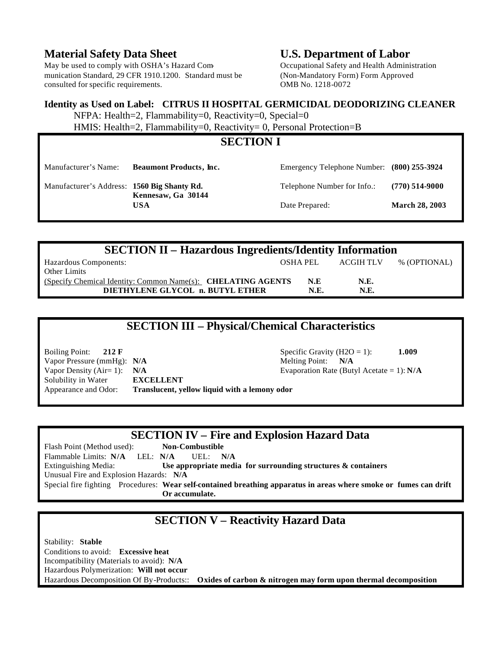#### **Material Safety Data Sheet U.S. Department of Labor**

May be used to comply with OSHA's Hazard Com- Occupational Safety and Health Administration munication Standard, 29 CFR 1910.1200. Standard must be (Non-Mandatory Form) Form Approved consulted for specific requirements. OMB No. 1218-0072

#### **Identity as Used on Label: CITRUS II HOSPITAL GERMICIDAL DEODORIZING CLEANER**

NFPA: Health=2, Flammability=0, Reactivity=0, Special=0

HMIS: Health=2, Flammability=0, Reactivity= 0, Personal Protection=B

| <b>SECTION I</b>                                                                |                                |                                            |                       |  |  |
|---------------------------------------------------------------------------------|--------------------------------|--------------------------------------------|-----------------------|--|--|
| Manufacturer's Name:                                                            | <b>Beaumont Products, Inc.</b> | Emergency Telephone Number: (800) 255-3924 |                       |  |  |
| Manufacturer's Address: 1560 Big Shanty Rd.<br>Kennesaw, Ga 30144<br><b>USA</b> |                                | Telephone Number for Info.:                | $(770)$ 514-9000      |  |  |
|                                                                                 |                                | Date Prepared:                             | <b>March 28, 2003</b> |  |  |

| <b>SECTION II – Hazardous Ingredients/Identity Information</b> |             |           |              |  |  |  |  |
|----------------------------------------------------------------|-------------|-----------|--------------|--|--|--|--|
| Hazardous Components:                                          | OSHA PEL    | ACGIH TLV | % (OPTIONAL) |  |  |  |  |
| Other Limits                                                   |             |           |              |  |  |  |  |
| (Specify Chemical Identity: Common Name(s): CHELATING AGENTS   | N.E         | N.E.      |              |  |  |  |  |
| DIETHYLENE GLYCOL n. BUTYL ETHER                               | <b>N.E.</b> | N.E.      |              |  |  |  |  |

# **SECTION III – Physical/Chemical Characteristics**

Boiling Point: **212 F** Specific Gravity (H2O = 1): **1.009** Vapor Pressure (mmHg): **N/A** Melting Point: **N/A** Vapor Density (Air= 1): **N/A** Evaporation Rate (Butyl Acetate = 1): **N/A** Solubility in Water **EXCELLENT** Appearance and Odor: **Translucent, yellow liquid with a lemony odor**

## **SECTION IV – Fire and Explosion Hazard Data**

Flash Point (Method used): **Non-Combustible** Flammable Limits: **N/A** LEL: **N/A** UEL: **N/A** Extinguishing Media: **Use appropriate media for surrounding structures & containers** Unusual Fire and Explosion Hazards: **N/A** Special fire fighting Procedures: **Wear self-contained breathing apparatus in areas where smoke or fumes can drift Or accumulate.**

## **SECTION V – Reactivity Hazard Data**

Stability: **Stable**  Conditions to avoid: **Excessive heat** Incompatibility (Materials to avoid): **N/A** Hazardous Polymerization: **Will not occur** Hazardous Decomposition Of By-Products:: **Oxides of carbon & nitrogen may form upon thermal decomposition**